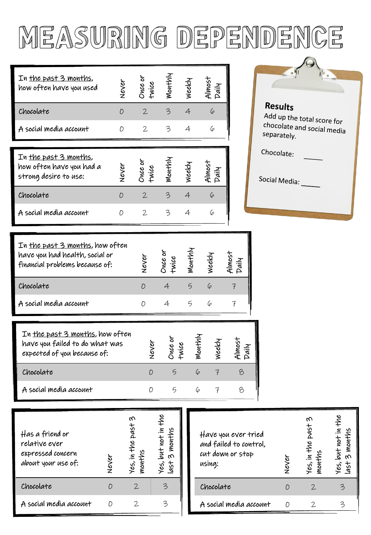## measuring dependence

1

| In the past 3 months,<br>how often have you used |  | Neek |  |
|--------------------------------------------------|--|------|--|
| Chocolate                                        |  |      |  |
| A social media account                           |  |      |  |
|                                                  |  |      |  |

| In the past 3 months,<br>how often have you had a<br>strong desire to use: |  |  |  |
|----------------------------------------------------------------------------|--|--|--|
| Chocolate                                                                  |  |  |  |
| A social media account                                                     |  |  |  |

| In the past 3 months, how often<br>have you had health, social or<br>financial problems because of: | ø | vice | Monthly | weekl |  |
|-----------------------------------------------------------------------------------------------------|---|------|---------|-------|--|
| Chocolate                                                                                           |   |      |         | 6     |  |
| A social media account                                                                              |   |      |         |       |  |

| In the past 3 months, how often<br>have you failed to do what was<br>expected of you because of: |  | ন্ত |  |
|--------------------------------------------------------------------------------------------------|--|-----|--|
| Chocolate                                                                                        |  |     |  |
| A social media account                                                                           |  |     |  |

| Has a friend or<br>relative ever<br>expressed concern<br>about your use of: | Never | ᠩ<br>past<br>Yes, in the :<br>months | Yes, but not in the<br>3 months<br>tsh |
|-----------------------------------------------------------------------------|-------|--------------------------------------|----------------------------------------|
| Chocolate                                                                   |       | 2.                                   |                                        |
| A social media account                                                      |       |                                      |                                        |

| Have you ever tried<br>and failed to control,<br>cut down or stop<br>using: | Never | ᠬ<br>Yes, in the past :<br>months | Yes, but not in the<br>months<br>$\omega$<br>430 |
|-----------------------------------------------------------------------------|-------|-----------------------------------|--------------------------------------------------|
| Chocolate                                                                   |       | 2.                                |                                                  |
| A social media account                                                      |       | 2                                 |                                                  |

| Results<br>Add up the total score for<br>chocolate and social media<br>separately. |  |
|------------------------------------------------------------------------------------|--|
| Chocolate:                                                                         |  |
| Social Media:                                                                      |  |